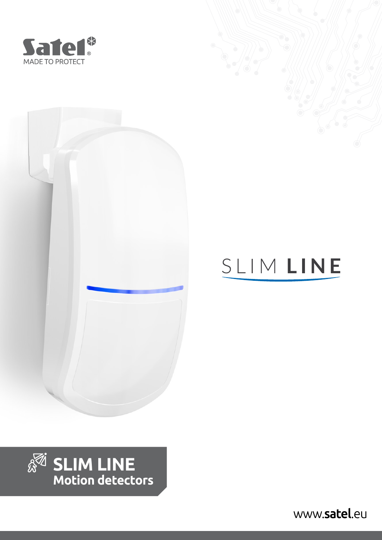





# SLIMLINE



[www.](http://www.satel.pl/en/?utm_source=pdf&utm_medium=pdf&utm_campaign=ulotka

)satel.eu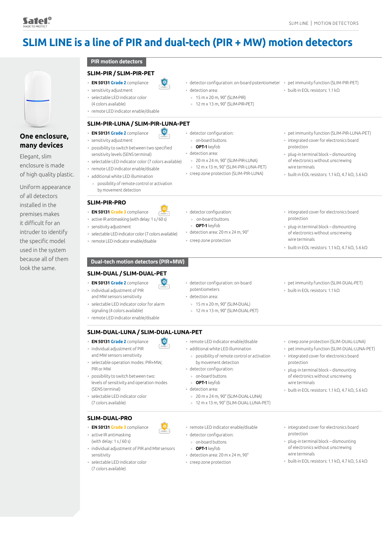# **SLIM LINE is a line of PIR and dual-tech (PIR + MW) motion detectors**



# **One enclosure, many devices**

Elegant, slim enclosure is made of high quality plastic.

Uniform appearance of all detectors installed in the premises makes it difficult for an intruder to identify the specific model used in the system because all of them look the same.

**PIR motion detectors**

#### **SLIM-PIR / SLIM-PIR-PET**

- **EN 50131 Grade 2** compliance • sensitivity adjustment
- selectable LED indicator color (4 colors available)
- remote LED indicator enable/disable

#### **SLIM-PIR-LUNA / SLIM-PIR-LUNA-PET**

 $\left( \frac{1}{2} \right)$ 

- **EN 50131 Grade 2** compliance • sensitivity adjustment
- possibility to switch between two specified sensitivity levels (SENS terminal)
- selectable LED indicator color (7 colors available)
- remote LED indicator enable/disable
- additional white LED illumination
	- » possibility of remote control or activation by movement detection

#### **SLIM-PIR-PRO**

- **EN 50131 Grade 3** compliance
- active IR antimasking (with delay: 1 s / 60 s)
- sensitivity adjustment
- selectable LED indicator color (7 colors available)
- remote LED indicator enable/disable

#### **Dual-tech motion detectors (PIR+MW)**

#### **SLIM-DUAL / SLIM-DUAL-PET**

- **EN 50131 Grade 2** compliance
- individual adjustment of PIR and MW sensors sensitivity
- selectable LED indicator color for alarm signaling (4 colors available)
- remote LED indicator enable/disable

#### **SLIM-DUAL-LUNA / SLIM-DUAL-LUNA-PET**

 $\mathbb{R}$ 

- **EN 50131 Grade 2** compliance
- individual adjustment of PIR and MW sensors sensitivity
- selectable operation modes: PIR+MW, PIR or MW
- possibility to switch between two: levels of sensitivity and operation modes (SENS terminal)
- selectable LED indicator color (7 colors available)

#### **SLIM-DUAL-PRO**

- **EN 50131 Grade 3** compliance
- active IR antimasking (with delay: 1 s / 60 s)
- individual adjustment of PIR and MW sensors sensitivity
- selectable LED indicator color (7 colors available)
- detector configuration: on-board potentiometer pet immunity function (SLIM-PIR-PET) • detection area:
- » 15 m x 20 m, 90° (SLIM-PIR)
- » 12 m x 13 m, 90° (SLIM-PIR-PET)
- detector configuration:
- » on-board buttons » **OPT-1** keyfob

• detector configuration: » on-board buttons » **OPT-1** keyfob

• detection area: 20 m x 24 m, 90° • creep zone protection

- detection area:
- » 20 m x 24 m, 90° (SLIM-PIR-LUNA)
- » 12 m x 13 m, 90° (SLIM-PIR-LUNA-PET) • creep zone protection (SLIM-PIR-LUNA)
- 
- 
- built-in EOL resistors: 1.1 kΩ
- pet immunity function (SLIM-PIR-LUNA-PET) • integrated cover for electronics board
- protection • plug-in terminal block – dismounting of electronics without unscrewing wire terminals
- built-in EOL resistors: 1.1 kΩ, 4.7 kΩ, 5.6 kΩ
- integrated cover for electronics board protection
- plug-in terminal block dismounting of electronics without unscrewing wire terminals
- built-in EOL resistors: 1.1 kΩ, 4.7 kΩ, 5.6 kΩ

• creep zone protection (SLIM-DUAL-LUNA) • pet immunity function (SLIM-DUAL-LUNA-PET) • integrated cover for electronics board

• plug-in terminal block – dismounting of electronics without unscrewing

• built-in EOL resistors: 1.1 kΩ, 4.7 kΩ, 5.6 kΩ

- detector configuration: on-board potentiometers
- detection area:
- » 15 m x 20 m, 90° (SLIM-DUAL)
- » 12 m x 13 m, 90° (SLIM-DUAL-PET)
- remote LED indicator enable/disable
- » possibility of remote control or activation
- detector configuration:
- » on-board buttons
- 
- 
- » 12 m x 13 m, 90° (SLIM-DUAL-LUNA-PET)
- 
- detector configuration:
- 
- 
- creep zone protection
- integrated cover for electronics board protection
- plug-in terminal block dismounting of electronics without unscrewing wire terminals
- built-in EOL resistors: 1.1 kΩ, 4.7 kΩ, 5.6 kΩ
- 
- 
- additional white LED illumination
	- by movement detection
	-
	- » **OPT-1** keyfob
	- detection area:
	- » 20 m x 24 m, 90° (SLIM-DUAL-LUNA)
	-
	- remote LED indicator enable/disable
	-
	- » on-board buttons
	- » **OPT-1** keyfob
	- detection area: 20 m x 24 m, 90°
	-
- 
- - pet immunity function (SLIM-DUAL-PET)
	- built-in EOL resistors: 1.1 kΩ
	-

protection

wire terminals

- 
-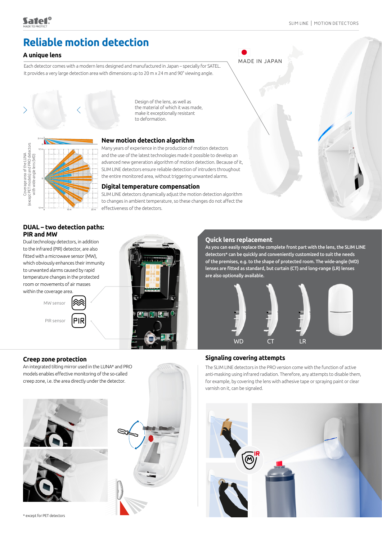# **Reliable motion detection**

# **A unique lens**

Each detector comes with a modern lens designed and manufactured in Japan – specially for SATEL. It provides a very large detection area with dimensions up to 20 m x 24 m and 90° viewing angle.



Design of the lens, as well as the material of which it was made, make it exceptionally resistant to deformation.



## **New motion detection algorithm**

Many years of experience in the production of motion detectors and the use of the latest technologies made it possible to develop an advanced new generation algorithm of motion detection. Because of it, SLIM LINE detectors ensure reliable detection of intruders throughout the entire monitored area, without triggering unwanted alarms.

#### **Digital temperature compensation**

SLIM LINE detectors dynamically adjust the motion detection algorithm to changes in ambient temperature, so these changes do not affect the effectiveness of the detectors.

# **DUAL – two detection paths: PIR and MW**

Dual technology detectors, in addition to the infrared (PIR) detector, are also fitted with a microwave sensor (MW), which obviously enhances their immunity to unwanted alarms caused by rapid temperature changes in the protected room or movements of air masses within the coverage area.

> MW sensor PIR sensor PIR



## **Quick lens replacement**

MADE IN JAPAN

As you can easily replace the complete front part with the lens, the SLIM LINE detectors\* can be quickly and conveniently customized to suit the needs of the premises, e.g. to the shape of protected room. The wide-angle (WD) lenses are fitted as standard, but curtain (CT) and long-range (LR) lenses are also optionally available.



# **Creep zone protection**

An integrated tilting mirror used in the LUNA\* and PRO models enables effective monitoring of the so-called creep zone, i.e. the area directly under the detector.





# **Signaling covering attempts**

The SLIM LINE detectors in the PRO version come with the function of active anti-masking using infrared radiation. Therefore, any attempts to disable them, for example, by covering the lens with adhesive tape or spraying paint or clear varnish on it, can be signaled.



\* except for PET detectors